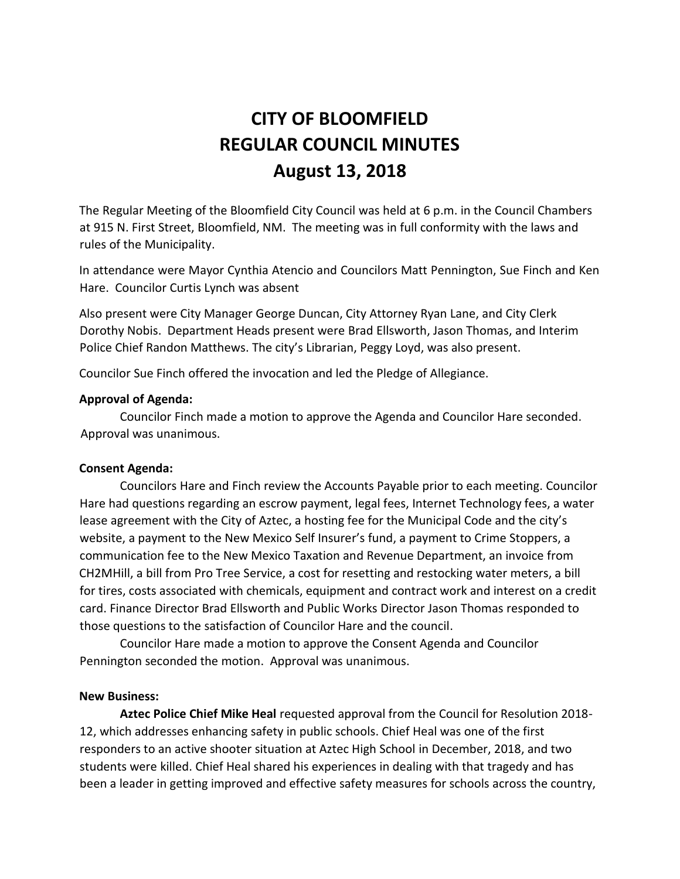# **CITY OF BLOOMFIELD REGULAR COUNCIL MINUTES August 13, 2018**

The Regular Meeting of the Bloomfield City Council was held at 6 p.m. in the Council Chambers at 915 N. First Street, Bloomfield, NM. The meeting was in full conformity with the laws and rules of the Municipality.

In attendance were Mayor Cynthia Atencio and Councilors Matt Pennington, Sue Finch and Ken Hare. Councilor Curtis Lynch was absent

Also present were City Manager George Duncan, City Attorney Ryan Lane, and City Clerk Dorothy Nobis. Department Heads present were Brad Ellsworth, Jason Thomas, and Interim Police Chief Randon Matthews. The city's Librarian, Peggy Loyd, was also present.

Councilor Sue Finch offered the invocation and led the Pledge of Allegiance.

#### **Approval of Agenda:**

Councilor Finch made a motion to approve the Agenda and Councilor Hare seconded. Approval was unanimous.

#### **Consent Agenda:**

Councilors Hare and Finch review the Accounts Payable prior to each meeting. Councilor Hare had questions regarding an escrow payment, legal fees, Internet Technology fees, a water lease agreement with the City of Aztec, a hosting fee for the Municipal Code and the city's website, a payment to the New Mexico Self Insurer's fund, a payment to Crime Stoppers, a communication fee to the New Mexico Taxation and Revenue Department, an invoice from CH2MHill, a bill from Pro Tree Service, a cost for resetting and restocking water meters, a bill for tires, costs associated with chemicals, equipment and contract work and interest on a credit card. Finance Director Brad Ellsworth and Public Works Director Jason Thomas responded to those questions to the satisfaction of Councilor Hare and the council.

Councilor Hare made a motion to approve the Consent Agenda and Councilor Pennington seconded the motion. Approval was unanimous.

#### **New Business:**

**Aztec Police Chief Mike Heal** requested approval from the Council for Resolution 2018- 12, which addresses enhancing safety in public schools. Chief Heal was one of the first responders to an active shooter situation at Aztec High School in December, 2018, and two students were killed. Chief Heal shared his experiences in dealing with that tragedy and has been a leader in getting improved and effective safety measures for schools across the country,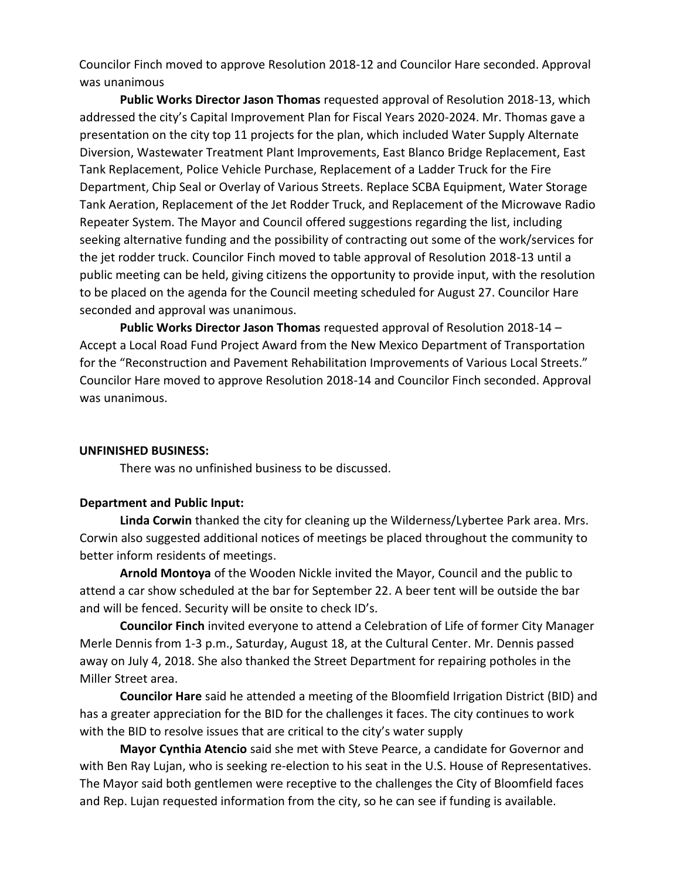Councilor Finch moved to approve Resolution 2018-12 and Councilor Hare seconded. Approval was unanimous

**Public Works Director Jason Thomas** requested approval of Resolution 2018-13, which addressed the city's Capital Improvement Plan for Fiscal Years 2020-2024. Mr. Thomas gave a presentation on the city top 11 projects for the plan, which included Water Supply Alternate Diversion, Wastewater Treatment Plant Improvements, East Blanco Bridge Replacement, East Tank Replacement, Police Vehicle Purchase, Replacement of a Ladder Truck for the Fire Department, Chip Seal or Overlay of Various Streets. Replace SCBA Equipment, Water Storage Tank Aeration, Replacement of the Jet Rodder Truck, and Replacement of the Microwave Radio Repeater System. The Mayor and Council offered suggestions regarding the list, including seeking alternative funding and the possibility of contracting out some of the work/services for the jet rodder truck. Councilor Finch moved to table approval of Resolution 2018-13 until a public meeting can be held, giving citizens the opportunity to provide input, with the resolution to be placed on the agenda for the Council meeting scheduled for August 27. Councilor Hare seconded and approval was unanimous.

**Public Works Director Jason Thomas** requested approval of Resolution 2018-14 – Accept a Local Road Fund Project Award from the New Mexico Department of Transportation for the "Reconstruction and Pavement Rehabilitation Improvements of Various Local Streets." Councilor Hare moved to approve Resolution 2018-14 and Councilor Finch seconded. Approval was unanimous.

#### **UNFINISHED BUSINESS:**

There was no unfinished business to be discussed.

## **Department and Public Input:**

**Linda Corwin** thanked the city for cleaning up the Wilderness/Lybertee Park area. Mrs. Corwin also suggested additional notices of meetings be placed throughout the community to better inform residents of meetings.

**Arnold Montoya** of the Wooden Nickle invited the Mayor, Council and the public to attend a car show scheduled at the bar for September 22. A beer tent will be outside the bar and will be fenced. Security will be onsite to check ID's.

**Councilor Finch** invited everyone to attend a Celebration of Life of former City Manager Merle Dennis from 1-3 p.m., Saturday, August 18, at the Cultural Center. Mr. Dennis passed away on July 4, 2018. She also thanked the Street Department for repairing potholes in the Miller Street area.

**Councilor Hare** said he attended a meeting of the Bloomfield Irrigation District (BID) and has a greater appreciation for the BID for the challenges it faces. The city continues to work with the BID to resolve issues that are critical to the city's water supply

**Mayor Cynthia Atencio** said she met with Steve Pearce, a candidate for Governor and with Ben Ray Lujan, who is seeking re-election to his seat in the U.S. House of Representatives. The Mayor said both gentlemen were receptive to the challenges the City of Bloomfield faces and Rep. Lujan requested information from the city, so he can see if funding is available.